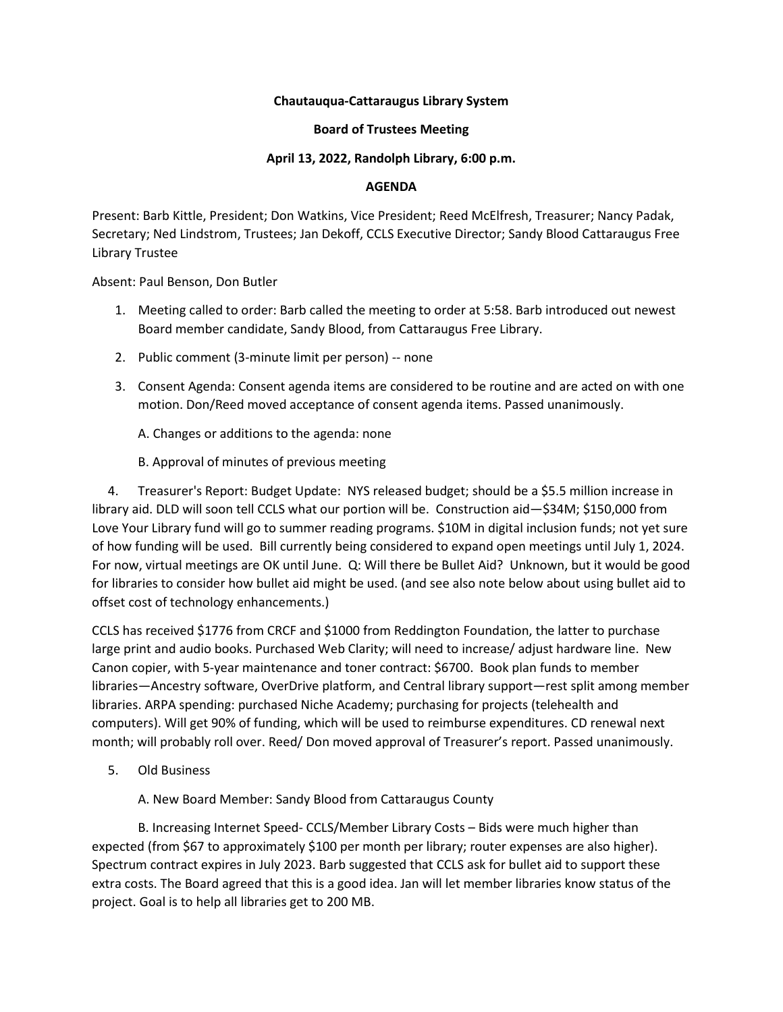# **Chautauqua-Cattaraugus Library System**

## **Board of Trustees Meeting**

## **April 13, 2022, Randolph Library, 6:00 p.m.**

#### **AGENDA**

Present: Barb Kittle, President; Don Watkins, Vice President; Reed McElfresh, Treasurer; Nancy Padak, Secretary; Ned Lindstrom, Trustees; Jan Dekoff, CCLS Executive Director; Sandy Blood Cattaraugus Free Library Trustee

Absent: Paul Benson, Don Butler

- 1. Meeting called to order: Barb called the meeting to order at 5:58. Barb introduced out newest Board member candidate, Sandy Blood, from Cattaraugus Free Library.
- 2. Public comment (3-minute limit per person) -- none
- 3. Consent Agenda: Consent agenda items are considered to be routine and are acted on with one motion. Don/Reed moved acceptance of consent agenda items. Passed unanimously.
	- A. Changes or additions to the agenda: none
	- B. Approval of minutes of previous meeting

 4. Treasurer's Report: Budget Update: NYS released budget; should be a \$5.5 million increase in library aid. DLD will soon tell CCLS what our portion will be. Construction aid—\$34M; \$150,000 from Love Your Library fund will go to summer reading programs. \$10M in digital inclusion funds; not yet sure of how funding will be used. Bill currently being considered to expand open meetings until July 1, 2024. For now, virtual meetings are OK until June. Q: Will there be Bullet Aid? Unknown, but it would be good for libraries to consider how bullet aid might be used. (and see also note below about using bullet aid to offset cost of technology enhancements.)

CCLS has received \$1776 from CRCF and \$1000 from Reddington Foundation, the latter to purchase large print and audio books. Purchased Web Clarity; will need to increase/ adjust hardware line. New Canon copier, with 5-year maintenance and toner contract: \$6700. Book plan funds to member libraries—Ancestry software, OverDrive platform, and Central library support—rest split among member libraries. ARPA spending: purchased Niche Academy; purchasing for projects (telehealth and computers). Will get 90% of funding, which will be used to reimburse expenditures. CD renewal next month; will probably roll over. Reed/ Don moved approval of Treasurer's report. Passed unanimously.

5. Old Business

A. New Board Member: Sandy Blood from Cattaraugus County

B. Increasing Internet Speed- CCLS/Member Library Costs – Bids were much higher than expected (from \$67 to approximately \$100 per month per library; router expenses are also higher). Spectrum contract expires in July 2023. Barb suggested that CCLS ask for bullet aid to support these extra costs. The Board agreed that this is a good idea. Jan will let member libraries know status of the project. Goal is to help all libraries get to 200 MB.